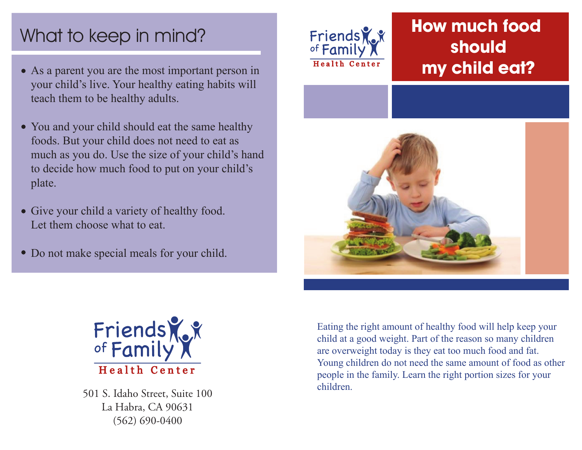# What to keep in mind?

- As a parent you are the most important person in your child's live. Your healthy eating habits will teach them to be healthy adults.
- You and your child should eat the same healthy foods. But your child does not need to eat as much as you do. Use the size of your child's hand to decide how much food to put on your child's plate.
- Give your child a variety of healthy food. Let them choose what to eat.
- Do not make special meals for your child.



## **How much food should my child eat?**





501 S. Idaho Street, Suite 100 La Habra, CA 90631 (562) 690-0400

Eating the right amount of healthy food will help keep your child at a good weight. Part of the reason so many children are overweight today is they eat too much food and fat. Young children do not need the same amount of food as other people in the family. Learn the right portion sizes for your children.